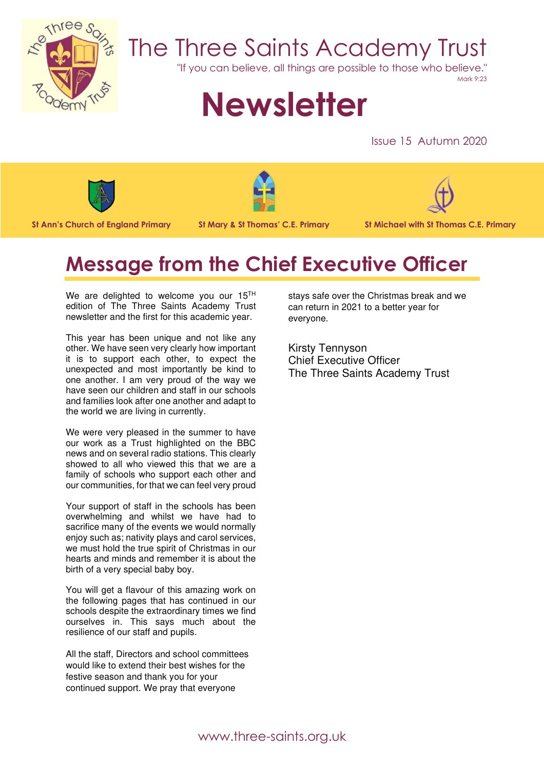

## The Three Saints Academy Trust

"If you can believe, all things are possible to those who believe."

Mark 9:23

# **Newsletter**

Issue 15 Autumn 2020









### **Message from the Chief Executive Officer**

We are delighted to welcome you our 15<sup>TH</sup> edition of The Three Saints Academy Trust newsletter and the first for this academic year.

This year has been unique and not like any other. We have seen very clearly how important it is to support each other, to expect the unexpected and most importantly be kind to one another. I am very proud of the way we have seen our children and staff in our schools and families look after one another and adapt to the world we are living in currently.

We were very pleased in the summer to have our work as a Trust highlighted on the BBC news and on several radio stations. This clearly showed to all who viewed this that we are a family of schools who support each other and our communities, for that we can feel very proud

Your support of staff in the schools has been overwhelming and whilst we have had to sacrifice many of the events we would normally enjoy such as; nativity plays and carol services, we must hold the true spirit of Christmas in our hearts and minds and remember it is about the birth of a very special baby boy.

You will get a flavour of this amazing work on the following pages that has continued in our schools despite the extraordinary times we find ourselves in. This says much about the resilience of our staff and pupils.

All the staff, Directors and school committees would like to extend their best wishes for the festive season and thank you for your continued support. We pray that everyone

stays safe over the Christmas break and we can return in 2021 to a better year for everyone.

Kirsty Tennyson Chief Executive Officer The Three Saints Academy Trust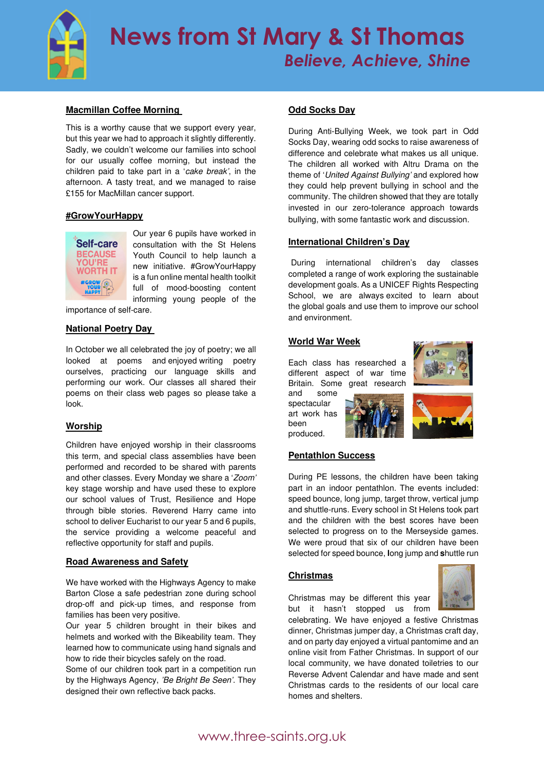

#### **Macmillan Coffee Morning**

This is a worthy cause that we support every year, but this year we had to approach it slightly differently. Sadly, we couldn't welcome our families into school for our usually coffee morning, but instead the children paid to take part in a 'cake break', in the afternoon. A tasty treat, and we managed to raise £155 for MacMillan cancer support.

#### **#GrowYourHappy**



Our year 6 pupils have worked in consultation with the St Helens Youth Council to help launch a new initiative. #GrowYourHappy is a fun online mental health toolkit full of mood-boosting content informing young people of the

importance of self-care.

#### **National Poetry Day**

In October we all celebrated the joy of poetry; we all looked at poems and enjoyed writing poetry ourselves, practicing our language skills and performing our work. Our classes all shared their poems on their class web pages so please take a look.

#### **Worship**

Children have enjoyed worship in their classrooms this term, and special class assemblies have been performed and recorded to be shared with parents and other classes. Every Monday we share a 'Zoom' key stage worship and have used these to explore our school values of Trust, Resilience and Hope through bible stories. Reverend Harry came into school to deliver Eucharist to our year 5 and 6 pupils, the service providing a welcome peaceful and reflective opportunity for staff and pupils.

#### **Road Awareness and Safety**

We have worked with the Highways Agency to make Barton Close a safe pedestrian zone during school drop-off and pick-up times, and response from families has been very positive.

Our year 5 children brought in their bikes and helmets and worked with the Bikeability team. They learned how to communicate using hand signals and how to ride their bicycles safely on the road.

Some of our children took part in a competition run by the Highways Agency, 'Be Bright Be Seen'. They designed their own reflective back packs.

#### **Odd Socks Day**

During Anti-Bullying Week, we took part in Odd Socks Day, wearing odd socks to raise awareness of difference and celebrate what makes us all unique. The children all worked with Altru Drama on the theme of 'United Against Bullying' and explored how they could help prevent bullying in school and the community. The children showed that they are totally invested in our zero-tolerance approach towards bullying, with some fantastic work and discussion.

#### **International Children's Day**

During international children's day classes completed a range of work exploring the sustainable development goals. As a UNICEF Rights Respecting School, we are always excited to learn about the global goals and use them to improve our school and environment.

#### **World War Week**

Each class has researched a different aspect of war time Britain. Some great research



and some spectacular art work has been produced.



#### **Pentathlon Success**

During PE lessons, the children have been taking part in an indoor pentathlon. The events included: speed bounce, long jump, target throw, vertical jump and shuttle-runs. Every school in St Helens took part and the children with the best scores have been selected to progress on to the Merseyside games. We were proud that six of our children have been selected for speed bounce, **l**ong jump and **s**huttle run

#### **Christmas**

Christmas may be different this year but it hasn't stopped us from

celebrating. We have enjoyed a festive Christmas dinner, Christmas jumper day, a Christmas craft day, and on party day enjoyed a virtual pantomime and an online visit from Father Christmas. In support of our local community, we have donated toiletries to our Reverse Advent Calendar and have made and sent Christmas cards to the residents of our local care homes and shelters.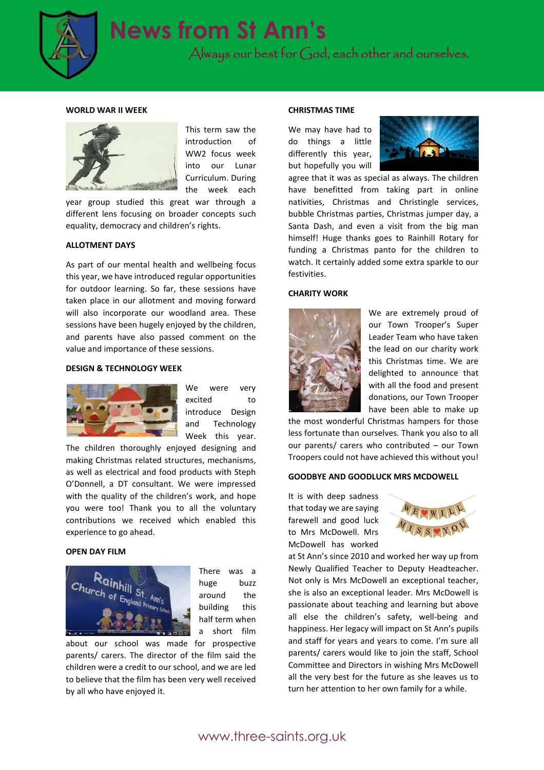

#### **WORLD WAR II WEEK**



This term saw the introduction of WW2 focus week into our Lunar Curriculum. During the week each

year group studied this great war through a different lens focusing on broader concepts such equality, democracy and children's rights.

#### **ALLOTMENT DAYS**

As part of our mental health and wellbeing focus this year, we have introduced regular opportunities for outdoor learning. So far, these sessions have taken place in our allotment and moving forward will also incorporate our woodland area. These sessions have been hugely enjoyed by the children, and parents have also passed comment on the value and importance of these sessions.

#### **DESIGN & TECHNOLOGY WEEK**



We were very excited to introduce Design and Technology Week this year.

The children thoroughly enjoyed designing and making Christmas related structures, mechanisms, as well as electrical and food products with Steph O'Donnell, a DT consultant. We were impressed with the quality of the children's work, and hope you were too! Thank you to all the voluntary contributions we received which enabled this experience to go ahead.

#### **OPEN DAY FILM**



There was a huge buzz around the building this half term when a short film

about our school was made for prospective parents/ carers. The director of the film said the children were a credit to our school, and we are led to believe that the film has been very well received by all who have enjoyed it.

#### **CHRISTMAS TIME**

We may have had to do things a little differently this year, but hopefully you will



agree that it was as special as always. The children have benefitted from taking part in online nativities, Christmas and Christingle services, bubble Christmas parties, Christmas jumper day, a Santa Dash, and even a visit from the big man himself! Huge thanks goes to Rainhill Rotary for funding a Christmas panto for the children to watch. It certainly added some extra sparkle to our festivities.

#### **CHARITY WORK**



We are extremely proud of our Town Trooper's Super Leader Team who have taken the lead on our charity work this Christmas time. We are delighted to announce that with all the food and present donations, our Town Trooper have been able to make up

the most wonderful Christmas hampers for those less fortunate than ourselves. Thank you also to all our parents/ carers who contributed – our Town Troopers could not have achieved this without you!

#### **GOODBYE AND GOODLUCK MRS MCDOWELL**

It is with deep sadness that today we are saying farewell and good luck to Mrs McDowell. Mrs McDowell has worked



at St Ann's since 2010 and worked her way up from Newly Qualified Teacher to Deputy Headteacher. Not only is Mrs McDowell an exceptional teacher, she is also an exceptional leader. Mrs McDowell is passionate about teaching and learning but above all else the children's safety, well-being and happiness. Her legacy will impact on St Ann's pupils and staff for years and years to come. I'm sure all parents/ carers would like to join the staff, School Committee and Directors in wishing Mrs McDowell all the very best for the future as she leaves us to turn her attention to her own family for a while.